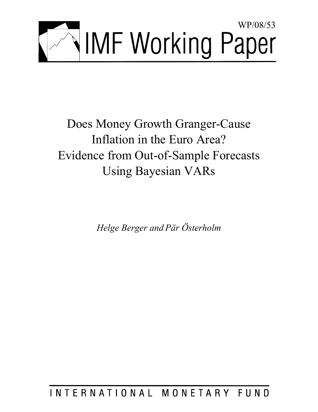

Does Money Growth Granger-Cause Inflation in the Euro Area? Evidence from Out-of-Sample Forecasts Using Bayesian VARs

*Helge Berger and Pär Österholm* 

INTERNATIONAL MONETARY FUND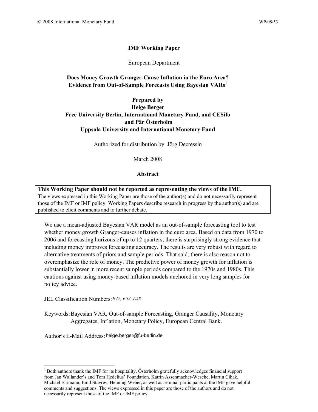# **IMF Working Paper**

European Department

# **Does Money Growth Granger-Cause Inflation in the Euro Area? Evidence from Out-of-Sample Forecasts Using Bayesian VARs<sup>1</sup>**

# **Prepared by Helge Berger Free University Berlin, International Monetary Fund, and CESifo and Pär Österholm Uppsala University and International Monetary Fund**

Authorized for distribution by Jörg Decressin

March 2008

### **Abstract**

**This Working Paper should not be reported as representing the views of the IMF.** The views expressed in this Working Paper are those of the author(s) and do not necessarily represent those of the IMF or IMF policy. Working Papers describe research in progress by the author(s) and are published to elicit comments and to further debate.

We use a mean-adjusted Bayesian VAR model as an out-of-sample forecasting tool to test whether money growth Granger-causes inflation in the euro area. Based on data from 1970 to 2006 and forecasting horizons of up to 12 quarters, there is surprisingly strong evidence that including money improves forecasting accuracy. The results are very robust with regard to alternative treatments of priors and sample periods. That said, there is also reason not to overemphasize the role of money. The predictive power of money growth for inflation is substantially lower in more recent sample periods compared to the 1970s and 1980s. This cautions against using money-based inflation models anchored in very long samples for policy advice.

JEL Classification Numbers: *E47, E52, E58* 

 $\overline{a}$ 

Keywords: Bayesian VAR, Out-of-sample Forecasting, Granger Causality, Monetary Aggregates, Inflation, Monetary Policy, European Central Bank.

Author's E-Mail Address: helge.berger@fu-berlin.de

<sup>&</sup>lt;sup>1</sup> Both authors thank the IMF for its hospitality. Österholm gratefully acknowledges financial support from Jan Wallander's and Tom Hedelius' Foundation. Katrin Assenmacher-Wesche, Martin Cihak, Michael Ehrmann, Emil Stavrev, Henning Weber, as well as seminar participants at the IMF gave helpful comments and suggestions. The views expressed in this paper are those of the authors and do not necessarily represent those of the IMF or IMF policy.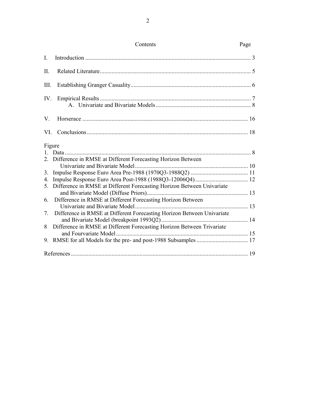|             | Contents                                                                 | Page |
|-------------|--------------------------------------------------------------------------|------|
| $I_{\cdot}$ |                                                                          |      |
| П.          |                                                                          |      |
| III.        |                                                                          |      |
| IV.         |                                                                          |      |
| V.          |                                                                          |      |
| VI.         |                                                                          |      |
|             | Figure<br>2. Difference in RMSE at Different Forecasting Horizon Between |      |
|             |                                                                          |      |
| 3.          |                                                                          |      |
| 4.          |                                                                          |      |
| 5.          | Difference in RMSE at Different Forecasting Horizon Between Univariate   |      |
| 6.          | Difference in RMSE at Different Forecasting Horizon Between              |      |
| 7.          | Difference in RMSE at Different Forecasting Horizon Between Univariate   |      |
| 8           | Difference in RMSE at Different Forecasting Horizon Between Trivariate   |      |
| 9.          |                                                                          |      |
|             |                                                                          |      |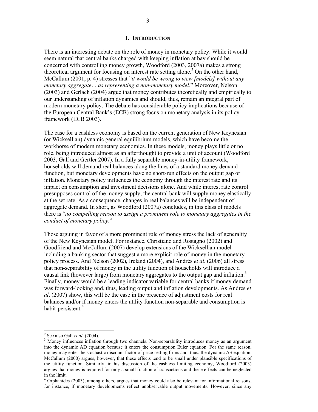#### **I. INTRODUCTION**

There is an interesting debate on the role of money in monetary policy. While it would seem natural that central banks charged with keeping inflation at bay should be concerned with controlling money growth, Woodford (2003, 2007a) makes a strong theoretical argument for focusing on interest rate setting alone.<sup>2</sup> On the other hand, McCallum (2001, p. 4) stresses that "*it would be wrong to view [models] without any monetary aggregate… as representing a non-monetary model*." Moreover, Nelson (2003) and Gerlach (2004) argue that money contributes theoretically and empirically to our understanding of inflation dynamics and should, thus, remain an integral part of modern monetary policy. The debate has considerable policy implications because of the European Central Bank's (ECB) strong focus on monetary analysis in its policy framework (ECB 2003).

The case for a cashless economy is based on the current generation of New Keynesian (or Wicksellian) dynamic general equilibrium models, which have become the workhorse of modern monetary economics. In these models, money plays little or no role, being introduced almost as an afterthought to provide a unit of account (Woodford 2003, Galí and Gertler 2007). In a fully separable money-in-utility framework, households will demand real balances along the lines of a standard money demand function, but monetary developments have no short-run effects on the output gap or inflation. Monetary policy influences the economy through the interest rate and its impact on consumption and investment decisions alone. And while interest rate control presupposes control of the money supply, the central bank will supply money elastically at the set rate. As a consequence, changes in real balances will be independent of aggregate demand. In short, as Woodford (2007a) concludes, in this class of models there is "*no compelling reason to assign a prominent role to monetary aggregates in the conduct of monetary policy*."

Those arguing in favor of a more prominent role of money stress the lack of generality of the New Keynesian model. For instance, Christiano and Rostagno (2002) and Goodfriend and McCallum (2007) develop extensions of the Wicksellian model including a banking sector that suggest a more explicit role of money in the monetary policy process. And Nelson (2002), Ireland (2004), and Andrés *et al*. (2006) all stress that non-separability of money in the utility function of households will introduce a causal link (however large) from monetary aggregates to the output gap and inflation.<sup>3</sup> Finally, money would be a leading indicator variable for central banks if money demand was forward-looking and, thus, leading output and inflation developments. As Andrés *et al*. (2007) show, this will be the case in the presence of adjustment costs for real balances and/or if money enters the utility function non-separable and consumption is habit-persistent.<sup>4</sup>

 $^2$  See also Galí *et al.* (2004).

<sup>&</sup>lt;sup>3</sup> Money influences inflation through two channels. Non-separability introduces money as an argument into the dynamic AD equation because it enters the consumption Euler equation. For the same reason, money may enter the stochastic discount factor of price-setting firms and, thus, the dynamic AS equation. McCallum (2000) argues, however, that these effects tend to be small under plausible specifications of the utility function. Similarly, in his discussion of the cashless limiting economy, Woodford (2003) argues that money is required for only a small fraction of transactions and these effects can be neglected in the limit.

<sup>&</sup>lt;sup>4</sup> Orphanides (2003), among others, argues that money could also be relevant for informational reasons, for instance, if monetary developments reflect unobservable output movements. However, since any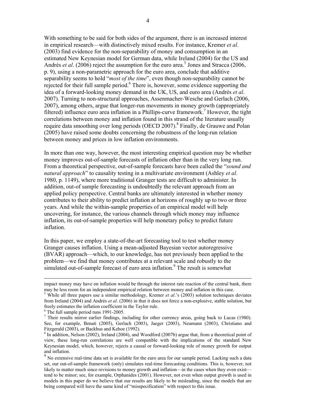With something to be said for both sides of the argument, there is an increased interest in empirical research—with distinctively mixed results. For instance, Kremer *et al*. (2003) find evidence for the non-separability of money and consumption in an estimated New Keynesian model for German data, while Ireland (2004) for the US and Andrés *et al.* (2006) reject the assumption for the euro area.<sup>5</sup> Jones and Stracca (2006, p. 9), using a non-parametric approach for the euro area, conclude that additive separability seems to hold "*most of the time*", even though non-separability cannot be rejected for their full sample period.<sup>6</sup> There is, however, some evidence supporting the idea of a forward-looking money demand in the UK, US, and euro area (Andrés *et al*. 2007). Turning to non-structural approaches, Assenmacher-Wesche and Gerlach (2006, 2007), among others, argue that longer-run movements in money growth (appropriately filtered) influence euro area inflation in a Phillips-curve framework.<sup>7</sup> However, the tight correlations between money and inflation found in this strand of the literature usually require data smoothing over long periods (OECD 2007).<sup>8</sup> Finally, de Grauwe and Polan (2005) have raised some doubts concerning the robustness of the long-run relation between money and prices in low inflation environments.

In more than one way, however, the most interesting empirical question may be whether money improves out-of-sample forecasts of inflation other than in the very long run. From a theoretical perspective, out-of-sample forecasts have been called the "*sound and natural approach*" to causality testing in a multivariate environment (Ashley *et al*. 1980, p. 1149), where more traditional Granger tests are difficult to administer. In addition, out-of sample forecasting is undoubtedly the relevant approach from an applied policy perspective. Central banks are ultimately interested in whether money contributes to their ability to predict inflation at horizons of roughly up to two or three years. And while the within-sample properties of an empirical model will help uncovering, for instance, the various channels through which money may influence inflation, its out-of-sample properties will help monetary policy to predict future inflation.

In this paper, we employ a state-of-the-art forecasting tool to test whether money Granger causes inflation. Using a mean-adjusted Bayesian vector autoregressive (BVAR) approach—which, to our knowledge, has not previously been applied to the problem—we find that money contributes at a relevant scale and robustly to the simulated out-of-sample forecast of euro area inflation.<sup>9</sup> The result is somewhat

impact money may have on inflation would be through the interest rate reaction of the central bank, there may be less room for an independent empirical relation between money and inflation in this case.

<sup>&</sup>lt;sup>5</sup> While all three papers use a similar methodology, Kremer *et al.*'s (2003) solution techniques deviates from Ireland (2004) and Andrés *et al*. (2006) in that it does not force a non-explosive, stable solution, but freely estimates the inflation coefficient in the Taylor rule.

<sup>6</sup> The full sample period runs 1991-2005.

<sup>&</sup>lt;sup>7</sup> Their results mirror earlier findings, including for other currency areas, going back to Lucas (1980). See, for example, Benati (2005), Gerlach (2003), Jaeger (2003), Neumann (2003), Christiano and Fitzgerald (2003), or Backhus and Kehoe (1992).

<sup>&</sup>lt;sup>8</sup> In addition, Nelson (2002), Ireland (2004), and Woodford (2007b) argue that, from a theoretical point of view, these long-run correlations are well compatible with the implications of the standard New Keynesian model, which, however, rejects a causal or forward-looking role of money growth for output and inflation.

 $9<sup>9</sup>$  No extensive real-time data set is available for the euro area for our sample period. Lacking such a data set, our out-of-sample framework (only) simulates real-time forecasting conditions. This is, however, not likely to matter much since revisions to money growth and inflation—in the cases when they even exist tend to be minor; see, for example, Orphanides (2001). However, not even when output growth is used in models in this paper do we believe that our results are likely to be misleading, since the models that are being compared will have the same kind of "misspecification" with respect to this issue.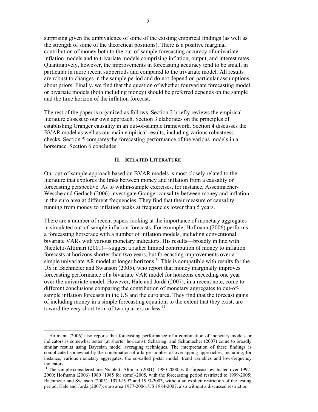surprising given the ambivalence of some of the existing empirical findings (as well as the strength of some of the theoretical positions). There is a positive marginal contribution of money both to the out-of-sample forecasting accuracy of univariate inflation models and to trivariate models comprising inflation, output, and interest rates. Quantitatively, however, the improvements in forecasting accuracy tend to be small, in particular in more recent subperiods and compared to the trivariate model. All results are robust to changes in the sample period and do not depend on particular assumptions about priors. Finally, we find that the question of whether fourvariate forecasting model or bivariate models (both including money) should be preferred depends on the sample and the time horizon of the inflation forecast.

The rest of the paper is organized as follows. Section 2 briefly reviews the empirical literature closest to our own approach. Section 3 elaborates on the principles of establishing Granger causality in an out-of-sample framework. Section 4 discusses the BVAR model as well as our main empirical results, including various robustness checks. Section 5 compares the forecasting performance of the various models in a horserace. Section 6 concludes.

## **II. RELATED LITERATURE**

Our out-of-sample approach based on BVAR models is most closely related to the literature that explores the links between money and inflation from a causality or forecasting perspective. As to within-sample exercises, for instance, Assenmacher-Wesche and Gerlach (2006) investigate Granger causality between money and inflation in the euro area at different frequencies. They find that their measure of causality running from money to inflation peaks at frequencies lower than 5 years.

There are a number of recent papers looking at the importance of monetary aggregates in simulated out-of-sample inflation forecasts. For example, Hofmann (2006) performs a forecasting horserace with a number of inflation models, including conventional bivariate VARs with various monetary indicators. His results—broadly in line with Nicoletti-Altimari (2001)—suggest a rather limited contribution of money to inflation forecasts at horizons shorter than two years, but forecasting improvements over a simple univariate AR model at longer horizons.<sup>10</sup> This is compatible with results for the US in Bachmeier and Swanson (2005), who report that money marginally improves forecasting performance of a bivariate VAR model for horizons exceeding one year over the univariate model. However, Hale and Jordà (2007), in a recent note, come to different conclusions comparing the contribution of monetary aggregates to out-ofsample inflation forecasts in the US and the euro area. They find that the forecast gains of including money in a simple forecasting equation, to the extent that they exist, are toward the very short-term of two quarters or  $less.$ <sup>11</sup>

<sup>&</sup>lt;sup>10</sup> Hofmann (2006) also reports that forecasting performance of a combination of monetary models or indicators is somewhat better (at shorter horizons). Scharnagl and Schumacher (2007) come to broadly similar results using Bayesian model averaging techniques. The interpretation of these findings is complicated somewhat by the combination of a large number of overlapping approaches, including, for instance, various monetary aggregates, the so-called p-star model, trend variables and low-frequency indicators.

<sup>&</sup>lt;sup>11</sup> The sample considered are: Nicoletti-Altimari (2001): 1980-2000, with forecasts evaluated over 1992-2000; Hofmann (2006) 1980 (1985 for some)-2005, with the forecasting period restricted to 1999-2005; Bachmeier and Swanson (2005): 1979-1992 and 1993-2003, without an explicit restriction of the testing period; Hale and Jordà (2007): euro area 1977-2006, US 1984-2007, also without a discussed restriction.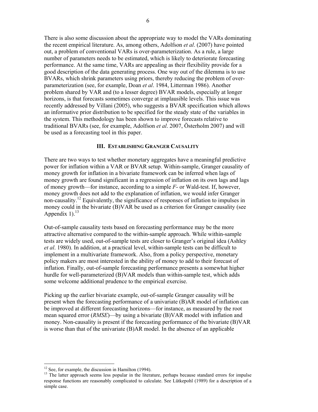There is also some discussion about the appropriate way to model the VARs dominating the recent empirical literature. As, among others, Adolfson *et al*. (2007) have pointed out, a problem of conventional VARs is over-parameterization. As a rule, a large number of parameters needs to be estimated, which is likely to deteriorate forecasting performance. At the same time, VARs are appealing as their flexibility provide for a good description of the data generating process. One way out of the dilemma is to use BVARs, which shrink parameters using priors, thereby reducing the problem of overparameterization (see, for example, Doan *et al*. 1984, Litterman 1986). Another problem shared by VAR and (to a lesser degree) BVAR models, especially at longer horizons, is that forecasts sometimes converge at implausible levels. This issue was recently addressed by Villani (2005), who suggests a BVAR specification which allows an informative prior distribution to be specified for the steady state of the variables in the system. This methodology has been shown to improve forecasts relative to traditional BVARs (see, for example, Adolfson *et al*. 2007, Österholm 2007) and will be used as a forecasting tool in this paper.

### **III. ESTABLISHING GRANGER CAUSALITY**

There are two ways to test whether monetary aggregates have a meaningful predictive power for inflation within a VAR or BVAR setup. Within-sample, Granger causality of money growth for inflation in a bivariate framework can be inferred when lags of money growth are found significant in a regression of inflation on its own lags and lags of money growth—for instance, according to a simple *F*- or Wald-test. If, however, money growth does not add to the explanation of inflation, we would infer Granger non-causality.<sup>12</sup> Equivalently, the significance of responses of inflation to impulses in money could in the bivariate (B)VAR be used as a criterion for Granger causality (see Appendix 1). $^{13}$ 

Out-of-sample causality tests based on forecasting performance may be the more attractive alternative compared to the within-sample approach. While within-sample tests are widely used, out-of-sample tests are closer to Granger's original idea (Ashley *et al*. 1980). In addition, at a practical level, within-sample tests can be difficult to implement in a multivariate framework. Also, from a policy perspective, monetary policy makers are most interested in the ability of money to add to their forecast of inflation. Finally, out-of-sample forecasting performance presents a somewhat higher hurdle for well-parameterized (B)VAR models than within-sample test, which adds some welcome additional prudence to the empirical exercise.

Picking up the earlier bivariate example, out-of-sample Granger causality will be present when the forecasting performance of a univariate (B)AR model of inflation can be improved at different forecasting horizons—for instance, as measured by the root mean squared error (*RMSE*)—by using a bivariate (B)VAR model with inflation and money. Non-causality is present if the forecasting performance of the bivariate (B)VAR is worse than that of the univariate (B)AR model. In the absence of an applicable

 $12$  See, for example, the discussion in Hamilton (1994).

<sup>&</sup>lt;sup>13</sup> The latter approach seems less popular in the literature, perhaps because standard errors for impulse response functions are reasonably complicated to calculate. See Lütkepohl (1989) for a description of a simple case.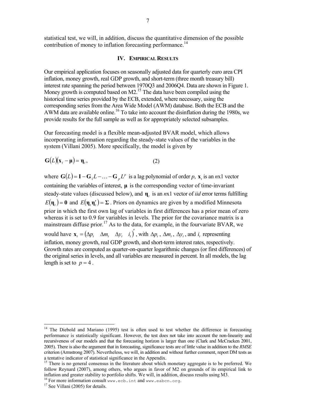statistical test, we will, in addition, discuss the quantitative dimension of the possible contribution of money to inflation forecasting performance.<sup>14</sup>

## **IV. EMPIRICAL RESULTS**

Our empirical application focuses on seasonally adjusted data for quarterly euro area CPI inflation, money growth, real GDP growth, and short-term (three month treasury bill) interest rate spanning the period between 1970Q3 and 2006Q4. Data are shown in Figure 1. Money growth is computed based on M2.<sup>15</sup> The data have been compiled using the historical time series provided by the ECB, extended, where necessary, using the corresponding series from the Area Wide Model (AWM) database. Both the ECB and the AWM data are available online.<sup>16</sup> To take into account the disinflation during the 1980s, we provide results for the full sample as well as for appropriately selected subsamples.

Our forecasting model is a flexible mean-adjusted BVAR model, which allows incorporating information regarding the steady-state values of the variables in the system (Villani 2005). More specifically, the model is given by

$$
G(L)(x_t - \mu) = \eta_t, \qquad (2)
$$

where  $G(L) = I - G_1 L - \dots - G_p L^p$  is a lag polynomial of order *p*,  $\mathbf{x}_t$  is an *n*x1 vector containing the variables of interest, **μ** is the corresponding vector of time-invariant steady-state values (discussed below), and **η***t* is an *n*x1 vector of *iid* error terms fulfilling  $E(\eta_t) = 0$  and  $E(\eta_t \eta'_t) = \Sigma$ . Priors on dynamics are given by a modified Minnesota prior in which the first own lag of variables in first differences has a prior mean of zero whereas it is set to 0.9 for variables in levels. The prior for the covariance matrix is a mainstream diffuse prior.<sup>17</sup> As to the data, for example, in the fourvariate BVAR, we would have  $\mathbf{x}_{i} = (\Delta p_{i}, \Delta m_{i}, \Delta y_{i}, i_{i})'$ , with  $\Delta p_{i}$ ,  $\Delta m_{i}$ ,  $\Delta y_{i}$ , and *i*, representing inflation, money growth, real GDP growth, and short-term interest rates, respectively. Growth rates are computed as quarter-on-quarter logarithmic changes (or first differences) of the original series in levels, and all variables are measured in percent. In all models, the lag length is set to  $p = 4$ .

<sup>&</sup>lt;sup>14</sup> The Diebold and Mariano (1995) test is often used to test whether the difference in forecasting performance is statistically significant. However, the test does not take into account the non-linearity and recursiveness of our models and that the forecasting horizon is larger than one (Clark and McCracken 2001, 2005). There is also the argument that in forecasting, significance tests are of little value in addition to the *RMSE* criterion (Armstrong 2007). Nevertheless, we will, in addition and without further comment, report DM tests as a tentative indicator of statistical significance in the Appendix.

<sup>&</sup>lt;sup>15</sup> There is no general consensus in the literature about which monetary aggregate is to be preferred. We follow Reynard (2007), among others, who argues in favor of M2 on grounds of its empirical link to inflation and greater stability to portfolio shifts. We will, in addition, discuss results using M3.

<sup>&</sup>lt;sup>16</sup> For more information consult www.ecb.int and www.eabcn.org. <sup>17</sup> See Villani (2005) for details.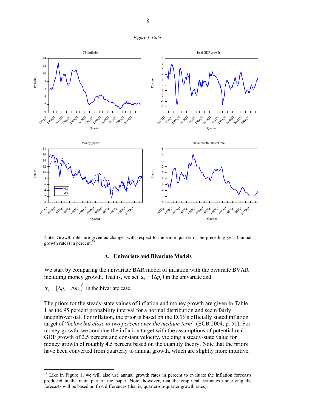



Note: Growth rates are given as changes with respect to the same quarter in the preceding year (annual growth rates) in percent.<sup>18</sup>

#### **A. Univariate and Bivariate Models**

We start by comparing the univariate BAR model of inflation with the bivariate BVAR including money growth. That is, we set  $\mathbf{x}_t = (\Delta p_t)$  in the univariate and

 $\mathbf{x}_{i} = (\Delta p_{i} \quad \Delta m_{i})^{T}$  in the bivariate case.

 $\overline{a}$ 

The priors for the steady-state values of inflation and money growth are given in Table 1 as the 95 percent probability interval for a normal distribution and seem fairly uncontroversial. For inflation, the prior is based on the ECB's officially stated inflation target of "*below but close to two percent over the medium term*" (ECB 2004, p. 51). For money growth, we combine the inflation target with the assumptions of potential real GDP growth of 2.5 percent and constant velocity, yielding a steady-state value for money growth of roughly 4.5 percent based on the quantity theory. Note that the priors have been converted from quarterly to annual growth, which are slightly more intuitive.

<sup>&</sup>lt;sup>18</sup> Like in Figure 1, we will also use annual growth rates in percent to evaluate the inflation forecasts produced in the main part of the paper. Note, however, that the empirical estimates underlying the forecasts will be based on first differences (that is, quarter-on-quarter growth rates).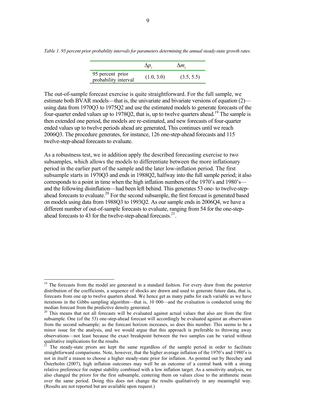|                                          | $\Delta p$ . | $\Delta m$ . |
|------------------------------------------|--------------|--------------|
| 95 percent prior<br>probability interval | (1.0, 3.0)   | (3.5, 5.5)   |

The out-of-sample forecast exercise is quite straightforward. For the full sample, we estimate both BVAR models—that is, the univariate and bivariate versions of equation (2) using data from 1970Q3 to 1975Q2 and use the estimated models to generate forecasts of the four-quarter ended values up to 1978Q2, that is, up to twelve quarters ahead.<sup>19</sup> The sample is then extended one period, the models are re-estimated, and new forecasts of four-quarter ended values up to twelve periods ahead are generated, This continues until we reach 2006Q3. The procedure generates, for instance, 126 one-step-ahead forecasts and 115 twelve-step-ahead forecasts to evaluate.

As a robustness test, we in addition apply the described forecasting exercise to two subsamples, which allows the models to differentiate between the more inflationary period in the earlier part of the sample and the later low-inflation period. The first subsample starts in 1970Q3 and ends in 1988Q2, halfway into the full sample period; it also corresponds to a point in time when the high inflation numbers of the 1970's and 1980's and the following disinflation—had been left behind. This generates 53 one- to twelve-stepahead forecasts to evaluate.<sup>20</sup> For the second subsample, the first forecast is generated based on models using data from 1988Q3 to 1993Q2. As our sample ends in 2006Q4, we have a different number of out-of-sample forecasts to evaluate, ranging from 54 for the one-stepahead forecasts to 43 for the twelve-step-ahead forecasts. $21$ .

*Table 1. 95 percent prior probability intervals for parameters determining the annual steady-state growth rates.* 

<sup>&</sup>lt;sup>19</sup> The forecasts from the model are generated in a standard fashion. For every draw from the posterior distribution of the coefficients, a sequence of shocks are drawn and used to generate future data, that is, forecasts from one up to twelve quarters ahead. We hence get as many paths for each variable as we have iterations in the Gibbs sampling algorithm—that is, 10 000—and the evaluation is conducted using the median forecast from the predictive density generated.

<sup>20</sup> This means that not all forecasts will be evaluated against actual values that also are from the first subsample. One (of the 53) one-step-ahead forecast will accordingly be evaluated against an observation from the second subsample; as the forecast horizon increases, so does this number. This seems to be a minor issue for the analysis, and we would argue that this approach is preferable to throwing away observations—not least because the exact breakpoint between the two samples can be varied without qualitative implications for the results.

<sup>21</sup> The steady-state priors are kept the same regardless of the sample period in order to facilitate straightforward comparisons. Note, however, that the higher average inflation of the 1970's and 1980's is not in itself a reason to choose a higher steady-state prior for inflation. As pointed out by Beechey and Österholm (2007), high inflation outcomes may well be an outcome of a central bank with a strong relative preference for output stability combined with a low inflation target. As a sensitivity analysis, we also changed the priors for the first subsample, centering them on values close to the arithmetic mean over the same period. Doing this does not change the results qualitatively in any meaningful way. (Results are not reported but are available upon request.)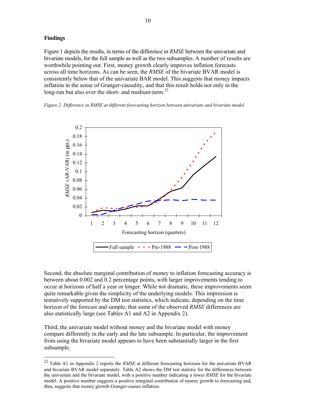## **Findings**

 $\overline{a}$ 

Figure 1 depicts the results, in terms of the difference in *RMSE* between the univariate and bivariate models, for the full sample as well as the two subsamples. A number of results are worthwhile pointing out. First, money growth clearly improves inflation forecasts across all time horizons. As can be seen, the *RMSE* of the bivariate BVAR model is consistently below that of the univariate BAR model. This suggests that money impacts inflation in the sense of Granger-causality, and that this result holds not only in the long-run but also over the short- and medium-term. $^{22}$ 

*Figure 2. Difference in RMSE at different forecasting horizon between univariate and bivariate model.* 



Second, the absolute marginal contribution of money to inflation forecasting accuracy is between about 0.002 and 0.2 percentage points, with larger improvements tending to occur at horizons of half a year or longer. While not dramatic, these improvements seem quite remarkable given the simplicity of the underlying models. This impression is tentatively supported by the DM test statistics, which indicate, depending on the time horizon of the forecast and sample, that some of the observed *RMSE* differences are also statistically large (see Tables A1 and A2 in Appendix 2).

Third, the univariate model without money and the bivariate model with money compare differently in the early and the late subsample. In particular, the improvement from using the bivariate model appears to have been substantially larger in the first subsample.

<sup>22</sup> Table A1 in Appendix 2 reports the *RMSE* at different forecasting horizons for the univariate BVAR and bivariate BVAR model separately. Table A2 shows the DM test statistic for the differences between the univariate and the bivariate model, with a positive number indicating a lower *RMSE* for the bivariate model. A positive number suggests a positive marginal contribution of money growth to forecasting and, thus, suggests that money growth Granger-causes inflation.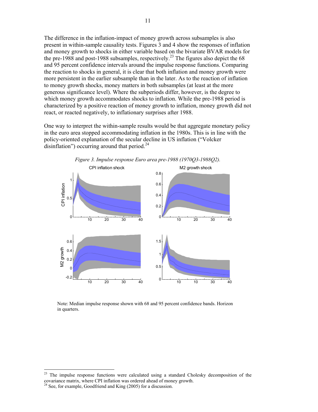The difference in the inflation-impact of money growth across subsamples is also present in within-sample causality tests. Figures 3 and 4 show the responses of inflation and money growth to shocks in either variable based on the bivariate BVAR models for the pre-1988 and post-1988 subsamples, respectively.<sup>23</sup> The figures also depict the 68 and 95 percent confidence intervals around the impulse response functions. Comparing the reaction to shocks in general, it is clear that both inflation and money growth were more persistent in the earlier subsample than in the later. As to the reaction of inflation to money growth shocks, money matters in both subsamples (at least at the more generous significance level). Where the subperiods differ, however, is the degree to which money growth accommodates shocks to inflation. While the pre-1988 period is characterized by a positive reaction of money growth to inflation, money growth did not react, or reacted negatively, to inflationary surprises after 1988.

One way to interpret the within-sample results would be that aggregate monetary policy in the euro area stopped accommodating inflation in the 1980s. This is in line with the policy-oriented explanation of the secular decline in US inflation ("Volcker disinflation") occurring around that period. $24$ 



Note: Median impulse response shown with 68 and 95 percent confidence bands. Horizon

 $23\,$ The impulse response functions were calculated using a standard Cholesky decomposition of the covariance matrix, where CPI inflation was ordered ahead of money growth.

in quarters.

<sup>&</sup>lt;sup>24</sup> See, for example, Goodfriend and King (2005) for a discussion.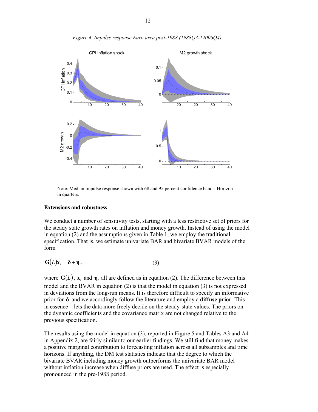

*Figure 4. Impulse response Euro area post-1988 (1988Q3-12006Q4).* 

Note: Median impulse response shown with 68 and 95 percent confidence bands. Horizon in quarters.

#### **Extensions and robustness**

We conduct a number of sensitivity tests, starting with a less restrictive set of priors for the steady state growth rates on inflation and money growth. Instead of using the model in equation (2) and the assumptions given in Table 1, we employ the traditional specification. That is, we estimate univariate BAR and bivariate BVAR models of the form

$$
G(L)x_t = \delta + \eta_t, \qquad (3)
$$

where  $G(L)$ ,  $x_t$  and  $\eta_t$  all are defined as in equation (2). The difference between this model and the BVAR in equation (2) is that the model in equation (3) is not expressed in deviations from the long-run means. It is therefore difficult to specify an informative prior for **δ** and we accordingly follow the literature and employ a **diffuse prior**. This in essence—lets the data more freely decide on the steady-state values. The priors on the dynamic coefficients and the covariance matrix are not changed relative to the previous specification.

The results using the model in equation (3), reported in Figure 5 and Tables A3 and A4 in Appendix 2, are fairly similar to our earlier findings. We still find that money makes a positive marginal contribution to forecasting inflation across all subsamples and time horizons. If anything, the DM test statistics indicate that the degree to which the bivariate BVAR including money growth outperforms the univariate BAR model without inflation increase when diffuse priors are used. The effect is especially pronounced in the pre-1988 period.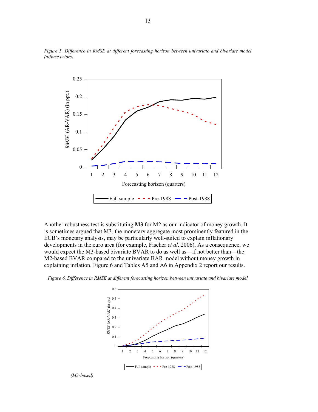

*Figure 5. Difference in RMSE at different forecasting horizon between univariate and bivariate model (diffuse priors).* 

Another robustness test is substituting **M3** for M2 as our indicator of money growth. It is sometimes argued that M3, the monetary aggregate most prominently featured in the ECB's monetary analysis, may be particularly well-suited to explain inflationary developments in the euro area (for example, Fischer *et al*. 2006). As a consequence, we would expect the M3-based bivariate BVAR to do as well as—if not better than—the M2-based BVAR compared to the univariate BAR model without money growth in explaining inflation. Figure 6 and Tables A5 and A6 in Appendix 2 report our results.

*Figure 6. Difference in RMSE at different forecasting horizon between univariate and bivariate model* 



*(M3-based)*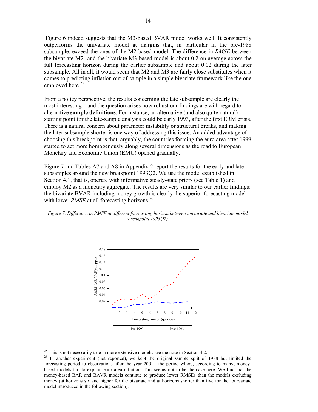Figure 6 indeed suggests that the M3-based BVAR model works well. It consistently outperforms the univariate model at margins that, in particular in the pre-1988 subsample, exceed the ones of the M2-based model. The difference in *RMSE* between the bivariate M2- and the bivariate M3-based model is about 0.2 on average across the full forecasting horizon during the earlier subsample and about 0.02 during the later subsample. All in all, it would seem that M2 and M3 are fairly close substitutes when it comes to predicting inflation out-of-sample in a simple bivariate framework like the one employed here. $25$ 

From a policy perspective, the results concerning the late subsample are clearly the most interesting—and the question arises how robust our findings are with regard to alternative **sample definitions**. For instance, an alternative (and also quite natural) starting point for the late-sample analysis could be early 1993, after the first ERM crisis. There is a natural concern about parameter instability or structural breaks, and making the later subsample shorter is one way of addressing this issue. An added advantage of choosing this breakpoint is that, arguably, the countries forming the euro area after 1999 started to act more homogenously along several dimensions as the road to European Monetary and Economic Union (EMU) opened gradually.

Figure 7 and Tables A7 and A8 in Appendix 2 report the results for the early and late subsamples around the new breakpoint 1993Q2. We use the model established in Section 4.1, that is, operate with informative steady-state priors (see Table 1) and employ M2 as a monetary aggregate. The results are very similar to our earlier findings: the bivariate BVAR including money growth is clearly the superior forecasting model with lower *RMSE* at all forecasting horizons.<sup>26</sup>





 $25$  This is not necessarily true in more extensive models; see the note in Section 4.2.

<sup>&</sup>lt;sup>26</sup> In another experiment (not reported), we kept the original sample split of 1988 but limited the forecasting period to observations after the year 2001—the period where, according to many, moneybased models fail to explain euro area inflation. This seems not to be the case here. We find that the money-based BAR and BAVR models continue to produce lower RMSEs than the models excluding money (at horizons six and higher for the bivariate and at horizons shorter than five for the fourvariate model introduced in the following section).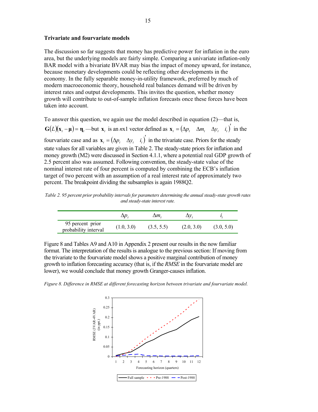#### **Trivariate and fourvariate models**

The discussion so far suggests that money has predictive power for inflation in the euro area, but the underlying models are fairly simple. Comparing a univariate inflation-only BAR model with a bivariate BVAR may bias the impact of money upward, for instance, because monetary developments could be reflecting other developments in the economy. In the fully separable money-in-utility framework, preferred by much of modern macroeconomic theory, household real balances demand will be driven by interest rates and output developments. This invites the question, whether money growth will contribute to out-of-sample inflation forecasts once these forces have been taken into account.

To answer this question, we again use the model described in equation (2)—that is,  $G(L)(x_i - \mu) = \eta_i$  but  $x_i$  is an nx1 vector defined as  $x_i = (\Delta p_i - \Delta m_i - \Delta y_i - i_i)$  in the fourvariate case and as  $\mathbf{x}_{i} = (\Delta p_{i} \Delta y_{i} \hat{i}_{i})'$  in the trivariate case. Priors for the steady state values for all variables are given in Table 2. The steady-state priors for inflation and money growth (M2) were discussed in Section 4.1.1, where a potential real GDP growth of 2.5 percent also was assumed. Following convention, the steady-state value of the nominal interest rate of four percent is computed by combining the ECB's inflation target of two percent with an assumption of a real interest rate of approximately two percent. The breakpoint dividing the subsamples is again 1988Q2.

*Table 2. 95 percent prior probability intervals for parameters determining the annual steady-state growth rates and steady-state interest rate.* 

|                                          |            | ΔM.        |            |            |
|------------------------------------------|------------|------------|------------|------------|
| 95 percent prior<br>probability interval | (1.0, 3.0) | (3.5, 5.5) | (2.0, 3.0) | (3.0, 5.0) |

Figure 8 and Tables A9 and A10 in Appendix 2 present our results in the now familiar format. The interpretation of the results is analogue to the previous section: If moving from the trivariate to the fourvariate model shows a positive marginal contribution of money growth to inflation forecasting accuracy (that is, if the *RMSE* in the fourvariate model are lower), we would conclude that money growth Granger-causes inflation.

*Figure 8. Difference in RMSE at different forecasting horizon between trivariate and fourvariate model.* 

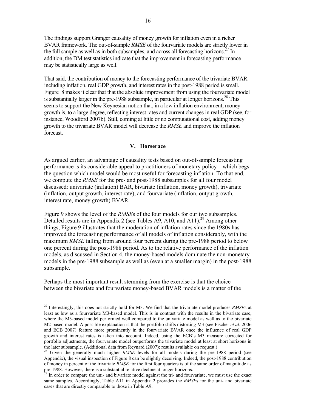The findings support Granger causality of money growth for inflation even in a richer BVAR framework. The out-of-sample *RMSE* of the fourvariate models are strictly lower in the full sample as well as in both subsamples, and across all forecasting horizons.<sup>27</sup> In addition, the DM test statistics indicate that the improvement in forecasting performance may be statistically large as well.

That said, the contribution of money to the forecasting performance of the trivariate BVAR including inflation, real GDP growth, and interest rates in the post-1988 period is small. Figure 8 makes it clear that that the absolute improvement from using the fourvariate model is substantially larger in the pre-1988 subsample, in particular at longer horizons.<sup>28</sup> This seems to support the New Keynesian notion that, in a low inflation environment, money growth is, to a large degree, reflecting interest rates and current changes in real GDP (see, for instance, Woodford 2007b). Still, coming at little or no computational cost, adding money growth to the trivariate BVAR model will decrease the *RMSE* and improve the inflation forecast.

### **V. Horserace**

As argued earlier, an advantage of causality tests based on out-of-sample forecasting performance is its considerable appeal to practitioners of monetary policy—which begs the question which model would be most useful for forecasting inflation. To that end, we compute the *RMSE* for the pre- and post-1988 subsamples for all four model discussed: univariate (inflation) BAR, bivariate (inflation, money growth), trivariate (inflation, output growth, interest rate), and fourvariate (inflation, output growth, interest rate, money growth) BVAR.

Figure 9 shows the level of the *RMSE*s of the four models for our two subsamples. Detailed results are in Appendix 2 (see Tables A9, A10, and A11).<sup>29</sup> Among other things, Figure 9 illustrates that the moderation of inflation rates since the 1980s has improved the forecasting performance of all models of inflation considerably, with the maximum *RMSE* falling from around four percent during the pre-1988 period to below one percent during the post-1988 period. As to the relative performance of the inflation models, as discussed in Section 4, the money-based models dominate the non-monetary models in the pre-1988 subsample as well as (even at a smaller margin) in the post-1988 subsample.

Perhaps the most important result stemming from the exercise is that the choice between the bivariate and fourvariate money-based BVAR models is a matter of the

<sup>27</sup> Interestingly, this does not strictly hold for M3. We find that the trivariate model produces *RMSE*s at least as low as a fourvariate M3-based model. This is in contrast with the results in the bivariate case, where the M3-based model performed well compared to the univariate model as well as to the bivariate M2-based model. A possible explanation is that the portfolio shifts distorting M3 (see Fischer *et al*. 2006 and ECB 2007) feature more prominently in the fourvariate BVAR once the influence of real GDP growth and interest rates is taken into account. Indeed, using the ECB's M3 measure corrected for portfolio adjustments, the fourvariate model outperforms the trivariate model at least at short horizons in the later subsample. (Additional data from Reynard (2007); results available on request.)

Given the generally much higher *RMSE* levels for all models during the pre-1988 period (see Appendix), the visual inspection of Figure 8 can be slightly deceiving. Indeed, the post-1988 contribution of money in percent of the trivariate *RMSE* for the first four quarters is of the same order of magnitude as pre-1988. However, there is a substantial relative decline at longer horizons.

 $2<sup>29</sup>$  In order to compare the uni- and bivariate model against the tri- and fourvariate, we must use the exact same samples. Accordingly, Table A11 in Appendix 2 provides the *RMSE*s for the uni- and bivariate cases that are directly comparable to those in Table A9.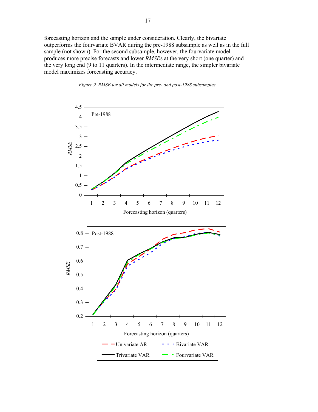forecasting horizon and the sample under consideration. Clearly, the bivariate outperforms the fourvariate BVAR during the pre-1988 subsample as well as in the full sample (not shown). For the second subsample, however, the fourvariate model produces more precise forecasts and lower *RMSE*s at the very short (one quarter) and the very long end (9 to 11 quarters). In the intermediate range, the simpler bivariate model maximizes forecasting accuracy.



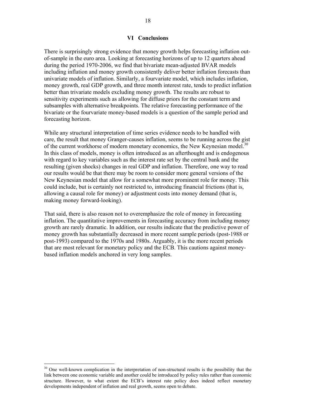## **VI Conclusions**

There is surprisingly strong evidence that money growth helps forecasting inflation outof-sample in the euro area. Looking at forecasting horizons of up to 12 quarters ahead during the period 1970-2006, we find that bivariate mean-adjusted BVAR models including inflation and money growth consistently deliver better inflation forecasts than univariate models of inflation. Similarly, a fourvariate model, which includes inflation, money growth, real GDP growth, and three month interest rate, tends to predict inflation better than trivariate models excluding money growth. The results are robust to sensitivity experiments such as allowing for diffuse priors for the constant term and subsamples with alternative breakpoints. The relative forecasting performance of the bivariate or the fourvariate money-based models is a question of the sample period and forecasting horizon.

While any structural interpretation of time series evidence needs to be handled with care, the result that money Granger-causes inflation, seems to be running across the gist of the current workhorse of modern monetary economics, the New Keynesian model.<sup>30</sup> In this class of models, money is often introduced as an afterthought and is endogenous with regard to key variables such as the interest rate set by the central bank and the resulting (given shocks) changes in real GDP and inflation. Therefore, one way to read our results would be that there may be room to consider more general versions of the New Keynesian model that allow for a somewhat more prominent role for money. This could include, but is certainly not restricted to, introducing financial frictions (that is, allowing a causal role for money) or adjustment costs into money demand (that is, making money forward-looking).

That said, there is also reason not to overemphasize the role of money in forecasting inflation. The quantitative improvements in forecasting accuracy from including money growth are rarely dramatic. In addition, our results indicate that the predictive power of money growth has substantially decreased in more recent sample periods (post-1988 or post-1993) compared to the 1970s and 1980s. Arguably, it is the more recent periods that are most relevant for monetary policy and the ECB. This cautions against moneybased inflation models anchored in very long samples.

<sup>&</sup>lt;sup>30</sup> One well-known complication in the interpretation of non-structural results is the possibility that the link between one economic variable and another could be introduced by policy rules rather than economic structure. However, to what extent the ECB's interest rate policy does indeed reflect monetary developments independent of inflation and real growth, seems open to debate.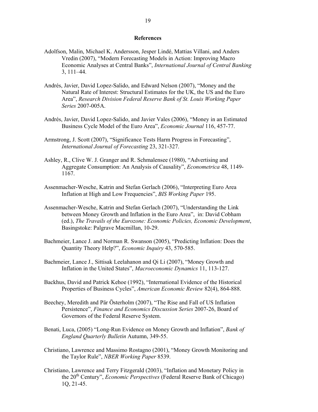#### **References**

- Adolfson, Malin, Michael K. Andersson, Jesper Lindé, Mattias Villani, and Anders Vredin (2007), "Modern Forecasting Models in Action: Improving Macro Economic Analyses at Central Banks", *International Journal of Central Banking* 3, 111–44.
- Andrés, Javier, David Lopez-Salido, and Edward Nelson (2007), "Money and the Natural Rate of Interest: Structural Estimates for the UK, the US and the Euro Area", *Research Division Federal Reserve Bank of St. Louis Working Paper Series* 2007-005A.
- Andrés, Javier, David Lopez-Salido, and Javier Vales (2006), "Money in an Estimated Business Cycle Model of the Euro Area", *Economic Journal* 116, 457-77.
- Armstrong, J. Scott (2007), "Significance Tests Harm Progress in Forecasting", *International Journal of Forecasting* 23, 321-327.
- Ashley, R., Clive W. J. Granger and R. Schmalensee (1980), "Advertising and Aggregate Consumption: An Analysis of Causality", *Econometrica* 48, 1149- 1167.
- Assenmacher-Wesche, Katrin and Stefan Gerlach (2006), "Interpreting Euro Area Inflation at High and Low Frequencies", *BIS Working Paper* 195.
- Assenmacher-Wesche, Katrin and Stefan Gerlach (2007), "Understanding the Link between Money Growth and Inflation in the Euro Area", in: David Cobham (ed.), *The Travails of the Eurozone: Economic Policies, Economic Development*, Basingstoke: Palgrave Macmillan, 10-29.
- Bachmeier, Lance J. and Norman R. Swanson (2005), "Predicting Inflation: Does the Quantity Theory Help?", *Economic Inquiry* 43, 570-585.
- Bachmeier, Lance J., Sittisak Leelahanon and Qi Li (2007), "Money Growth and Inflation in the United States", *Macroeconomic Dynamics* 11, 113-127.
- Backhus, David and Patrick Kehoe (1992), "International Evidence of the Historical Properties of Business Cycles", *American Economic Review* 82(4), 864-888.
- Beechey, Meredith and Pär Österholm (2007), "The Rise and Fall of US Inflation Persistence", *Finance and Economics Discussion Series* 2007-26, Board of Governors of the Federal Reserve System.
- Benati, Luca, (2005) "Long-Run Evidence on Money Growth and Inflation", *Bank of England Quarterly Bulletin* Autumn, 349-55.
- Christiano, Lawrence and Massimo Rostagno (2001), "Money Growth Monitoring and the Taylor Rule", *NBER Working Paper* 8539.
- Christiano, Lawrence and Terry Fitzgerald (2003), "Inflation and Monetary Policy in the 20th Century", *Economic Perspectives* (Federal Reserve Bank of Chicago) 1Q, 21-45.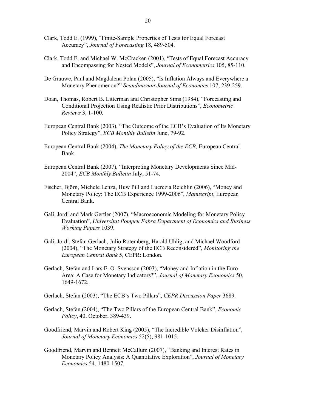- Clark, Todd E. (1999), "Finite-Sample Properties of Tests for Equal Forecast Accuracy", *Journal of Forecasting* 18, 489-504.
- Clark, Todd E. and Michael W. McCracken (2001), "Tests of Equal Forecast Accuracy and Encompassing for Nested Models", *Journal of Econometrics* 105, 85-110.
- De Grauwe, Paul and Magdalena Polan (2005), "Is Inflation Always and Everywhere a Monetary Phenomenon?" *Scandinavian Journal of Economics* 107, 239-259.
- Doan, Thomas, Robert B. Litterman and Christopher Sims (1984), "Forecasting and Conditional Projection Using Realistic Prior Distributions", *Econometric Reviews* 3, 1-100.
- European Central Bank (2003), "The Outcome of the ECB's Evaluation of Its Monetary Policy Strategy", *ECB Monthly Bulletin* June, 79-92.
- European Central Bank (2004), *The Monetary Policy of the ECB*, European Central Bank.
- European Central Bank (2007), "Interpreting Monetary Developments Since Mid-2004", *ECB Monthly Bulletin* July, 51-74.
- Fischer, Björn, Michele Lenza, Huw Pill and Lucrezia Reichlin (2006), "Money and Monetary Policy: The ECB Experience 1999-2006", *Manuscript*, European Central Bank.
- Galí, Jordi and Mark Gertler (2007), "Macroeconomic Modeling for Monetary Policy Evaluation", *Universitat Pompeu Fabra Department of Economics and Business Working Papers* 1039.
- Galí, Jordi, Stefan Gerlach, Julio Rotemberg, Harald Uhlig, and Michael Woodford (2004), "The Monetary Strategy of the ECB Reconsidered", *Monitoring the European Central Bank* 5, CEPR: London.
- Gerlach, Stefan and Lars E. O. Svensson (2003), "Money and Inflation in the Euro Area: A Case for Monetary Indicators?", *Journal of Monetary Economics* 50, 1649-1672.
- Gerlach, Stefan (2003), "The ECB's Two Pillars", *CEPR Discussion Paper* 3689.
- Gerlach, Stefan (2004), "The Two Pillars of the European Central Bank", *Economic Policy*, 40, October, 389-439.
- Goodfriend, Marvin and Robert King (2005), "The Incredible Volcker Disinflation", *Journal of Monetary Economics* 52(5), 981-1015.
- Goodfriend, Marvin and Bennett McCallum (2007), "Banking and Interest Rates in Monetary Policy Analysis: A Quantitative Exploration", *Journal of Monetary Economics* 54, 1480-1507.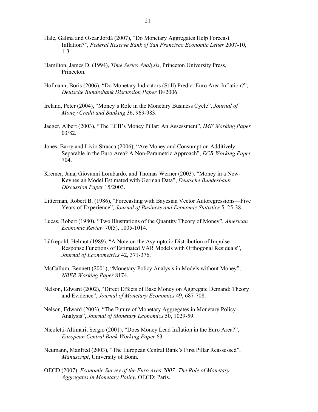- Hale, Galina and Oscar Jordà (2007), "Do Monetary Aggregates Help Forecast Inflation?", *Federal Reserve Bank of San Francisco Economic Letter* 2007-10, 1-3.
- Hamilton, James D. (1994), *Time Series Analysis*, Princeton University Press, Princeton.
- Hofmann, Boris (2006), "Do Monetary Indicators (Still) Predict Euro Area Inflation?", *Deutsche Bundesbank Discussion Paper* 18/2006.
- Ireland, Peter (2004), "Money's Role in the Monetary Business Cycle", *Journal of Money Credit and Banking* 36, 969-983.
- Jaeger, Albert (2003), "The ECB's Money Pillar: An Assessment", *IMF Working Paper* 03/82.
- Jones, Barry and Livio Stracca (2006), "Are Money and Consumption Additively Separable in the Euro Area? A Non-Parametric Approach", *ECB Working Paper* 704.
- Kremer, Jana, Giovanni Lombardo, and Thomas Werner (2003), "Money in a New-Keynesian Model Estimated with German Data", *Deutsche Bundesbank Discussion Paper* 15/2003.
- Litterman, Robert B. (1986), "Forecasting with Bayesian Vector Autoregressions—Five Years of Experience", *Journal of Business and Economic Statistics* 5, 25-38.
- Lucas, Robert (1980), "Two Illustrations of the Quantity Theory of Money", *American Economic Review* 70(5), 1005-1014.
- Lütkepohl, Helmut (1989), "A Note on the Asymptotic Distribution of Impulse Response Functions of Estimated VAR Models with Orthogonal Residuals", *Journal of Econometrics* 42, 371-376.
- McCallum, Bennett (2001), "Monetary Policy Analysis in Models without Money", *NBER Working Paper* 8174.
- Nelson, Edward (2002), "Direct Effects of Base Money on Aggregate Demand: Theory and Evidence", *Journal of Monetary Economics* 49, 687-708.
- Nelson, Edward (2003), "The Future of Monetary Aggregates in Monetary Policy Analysis", *Journal of Monetary Economics* 50, 1029-59.
- Nicoletti-Altimari, Sergio (2001), "Does Money Lead Inflation in the Euro Area?", *European Central Bank Working Paper* 63.
- Neumann, Manfred (2003), "The European Central Bank's First Pillar Reassessed", *Manuscript*, University of Bonn.
- OECD (2007), *Economic Survey of the Euro Area 2007: The Role of Monetary Aggregates in Monetary Policy*, OECD: Paris.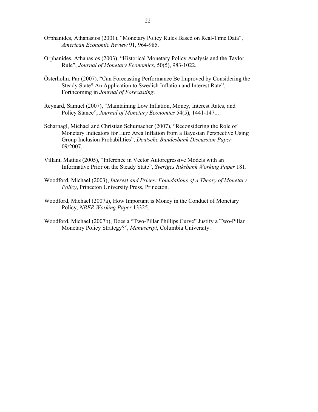- Orphanides, Athanasios (2001), "Monetary Policy Rules Based on Real-Time Data", *American Economic Review* 91, 964-985.
- Orphanides, Athanasios (2003), "Historical Monetary Policy Analysis and the Taylor Rule", *Journal of Monetary Economics*, 50(5), 983-1022.
- Österholm, Pär (2007), "Can Forecasting Performance Be Improved by Considering the Steady State? An Application to Swedish Inflation and Interest Rate", Forthcoming in *Journal of Forecasting*.
- Reynard, Samuel (2007), "Maintaining Low Inflation, Money, Interest Rates, and Policy Stance", *Journal of Monetary Economics* 54(5), 1441-1471.
- Scharnagl, Michael and Christian Schumacher (2007), "Reconsidering the Role of Monetary Indicators for Euro Area Inflation from a Bayesian Perspective Using Group Inclusion Probabilities", *Deutsche Bundesbank Discussion Paper* 09/2007.
- Villani, Mattias (2005), "Inference in Vector Autoregressive Models with an Informative Prior on the Steady State", *Sveriges Riksbank Working Paper* 181.
- Woodford, Michael (2003), *Interest and Prices: Foundations of a Theory of Monetary Policy*, Princeton University Press, Princeton.
- Woodford, Michael (2007a), How Important is Money in the Conduct of Monetary Policy, *NBER Working Paper* 13325.
- Woodford, Michael (2007b), Does a "Two-Pillar Phillips Curve" Justify a Two-Pillar Monetary Policy Strategy?", *Manuscript*, Columbia University.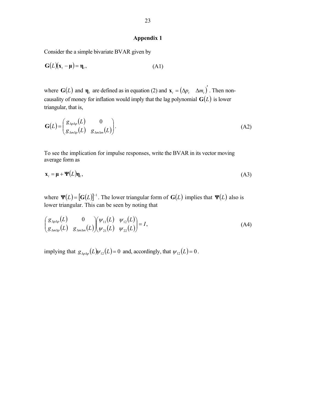### **Appendix 1**

Consider the a simple bivariate BVAR given by

$$
G(L)(x_t - \mu) = \eta_t, \qquad (A1)
$$

where **G**(*L*) and **η**<sub>*t*</sub> are defined as in equation (2) and  $\mathbf{x}_t = (\Delta p_t \ \Delta m_t)'$ . Then noncausality of money for inflation would imply that the lag polynomial  $\mathbf{G}(L)$  is lower triangular, that is,

$$
\mathbf{G}(L) = \begin{pmatrix} g_{\Delta p \Delta p}(L) & 0 \\ g_{\Delta m \Delta p}(L) & g_{\Delta m \Delta m}(L) \end{pmatrix} .
$$
 (A2)

To see the implication for impulse responses, write the BVAR in its vector moving average form as

$$
\mathbf{x}_{t} = \mathbf{\mu} + \mathbf{\Psi}(L)\mathbf{\eta}_{t},\tag{A3}
$$

where  $\Psi(L) = [G(L)]^{-1}$ . The lower triangular form of  $G(L)$  implies that  $\Psi(L)$  also is lower triangular. This can be seen by noting that

$$
\begin{pmatrix} g_{\Delta p\Delta p}(L) & 0 \\ g_{\Delta m\Delta p}(L) & g_{\Delta m\Delta m}(L) \end{pmatrix} \begin{pmatrix} \psi_{11}(L) & \psi_{12}(L) \\ \psi_{21}(L) & \psi_{22}(L) \end{pmatrix} = I,
$$
\n(A4)

implying that  $g_{\Delta p \Delta p}(L) \psi_{12}(L) = 0$  and, accordingly, that  $\psi_{12}(L) = 0$ .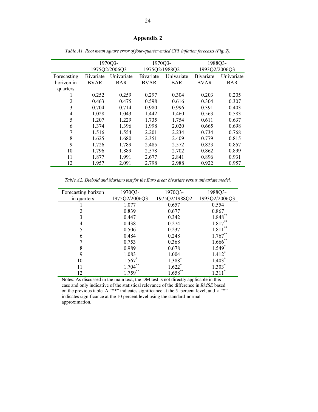# **Appendix 2**

|             |             | 1970Q3-       |             | 1970Q3-       |               | 1988Q3-    |
|-------------|-------------|---------------|-------------|---------------|---------------|------------|
|             |             | 1975Q2/2006Q3 |             | 1975Q2/1988Q2 | 1993Q2/2006Q3 |            |
| Forecasting | Bivariate   | Univariate    | Bivariate   | Univariate    | Bivariate     | Univariate |
| horizon in  | <b>BVAR</b> | <b>BAR</b>    | <b>BVAR</b> | <b>BAR</b>    | <b>BVAR</b>   | <b>BAR</b> |
| quarters    |             |               |             |               |               |            |
| ш           | 0.252       | 0.259         | 0.297       | 0.304         | 0.203         | 0.205      |
| 2           | 0.463       | 0.475         | 0.598       | 0.616         | 0.304         | 0.307      |
| 3           | 0.704       | 0.714         | 0.980       | 0.996         | 0.391         | 0.403      |
| 4           | 1.028       | 1.043         | 1.442       | 1.460         | 0.563         | 0.583      |
| 5           | 1.207       | 1.229         | 1.735       | 1.754         | 0.611         | 0.637      |
| 6           | 1.374       | 1.396         | 1.998       | 2.020         | 0.665         | 0.698      |
| 7           | 1.516       | 1.554         | 2.201       | 2.234         | 0.734         | 0.768      |
| 8           | 1.625       | 1.680         | 2.351       | 2.409         | 0.779         | 0.815      |
| 9           | 1.726       | 1.789         | 2.485       | 2.572         | 0.823         | 0.857      |
| 10          | 1.796       | 1.889         | 2.578       | 2.702         | 0.862         | 0.899      |
| 11          | 1.877       | 1.991         | 2.677       | 2.841         | 0.896         | 0.931      |
| 12          | 1.957       | 2.091         | 2.798       | 2.988         | 0.922         | 0.957      |

*Table A1. Root mean square error of four-quarter ended CPI inflation forecasts (Fig. 2).* 

*Table A2. Diebold and Mariano test for the Euro area; bivariate versus univariate model.* 

| Forecasting horizon | 1970Q3-       | 1970Q3-       | 1988Q3-              |
|---------------------|---------------|---------------|----------------------|
| in quarters         | 1975Q2/2006Q3 | 1975Q2/1988Q2 | 1993Q2/2006Q3        |
|                     | 1.077         | 0.657         | 0.554                |
|                     | 0.839         | 0.677         | 0.867                |
|                     | 0.447         | 0.342         | $1.848***$           |
|                     | 0.438         | 0.274         | 1.817                |
|                     | 0.506         | 0.237         | 1.811                |
| 6                   | 0.484         | 0.248         | $1.767**$            |
|                     | 0.753         | 0.368         | $1.666$ **           |
| 8                   | 0.989         | 0.678         | $1.549$ <sup>*</sup> |
| 9                   | 1.083         | 1.004         | 1.412                |
| 10                  | $1.567*$      | 1.388*        | $1.403*$             |
| 11                  | $1.704***$    | $1.622*$      | $1.303*$             |
| 12                  | 1.759         | 1.658         |                      |

Notes: As discussed in the main text, the DM test is not directly applicable in this case and only indicative of the statistical relevance of the difference in *RMSE* based on the previous table. A "\*\*" indicates significance at the 5 percent level, and a "\*" indicates significance at the 10 percent level using the standard-normal approximation.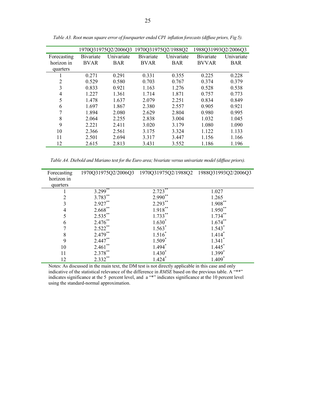|             |                   | 1970Q31975Q2/2006Q3 |                   | 1970Q31975Q2/1988Q2 | 1988Q31993Q2/2006Q3 |            |
|-------------|-------------------|---------------------|-------------------|---------------------|---------------------|------------|
| Forecasting | <b>B</b> ivariate | Univariate          | <b>B</b> ivariate | Univariate          | <b>B</b> ivariate   | Univariate |
| horizon in  | <b>BVAR</b>       | <b>BAR</b>          | <b>BVAR</b>       | <b>BAR</b>          | <b>BVVAR</b>        | <b>BAR</b> |
| quarters    |                   |                     |                   |                     |                     |            |
|             | 0.271             | 0.291               | 0.331             | 0.355               | 0.225               | 0.228      |
| 2           | 0.529             | 0.580               | 0.703             | 0.767               | 0.374               | 0.379      |
| 3           | 0.833             | 0.921               | 1.163             | 1.276               | 0.528               | 0.538      |
| 4           | 1.227             | 1.361               | 1.714             | 1.871               | 0.757               | 0.773      |
| 5           | 1.478             | 1.637               | 2.079             | 2.251               | 0.834               | 0.849      |
| 6           | 1.697             | 1.867               | 2.380             | 2.557               | 0.905               | 0.921      |
| 7           | 1.894             | 2.080               | 2.629             | 2.804               | 0.980               | 0.995      |
| 8           | 2.064             | 2.255               | 2.838             | 3.004               | 1.032               | 1.045      |
| 9           | 2 2 2 1           | 2.411               | 3.020             | 3.179               | 1.080               | 1.090      |
| 10          | 2.366             | 2.561               | 3.175             | 3.324               | 1.122               | 1.133      |
| 11          | 2.501             | 2.694               | 3.317             | 3.447               | 1.156               | 1.166      |
| 12          | 2.615             | 2.813               | 3.431             | 3.552               | 1.186               | 1.196      |

*Table A3. Root mean square error of fourquarter ended CPI inflation forecasts (diffuse priors, Fig 5).* 

*Table A4. Diebold and Mariano test for the Euro area; bivariate versus univariate model (diffuse priors).* 

| Forecasting<br>horizon in |                       | 1970Q31975Q2/2006Q3 1970Q31975Q2/1988Q2 1988Q31993Q2/2006Q3 |                      |
|---------------------------|-----------------------|-------------------------------------------------------------|----------------------|
| quarters                  |                       |                                                             |                      |
|                           | $3.299$ <sup>**</sup> | $2.723***$                                                  | 1.027                |
| $\overline{c}$            | 3.783**               | $2.990**$                                                   | 1.265                |
| 3                         | $2.927$ **            | $2.293***$                                                  | $1.908***$           |
| 4                         | $2.668$ **            | $1.918***$                                                  | $1.950**$            |
| 5                         | $2.535***$            | $1.733***$                                                  | $1.734***$           |
| 6                         | $2.476**$             | $1.630*$                                                    | $1.674$ **           |
|                           | $2.522***$            | $1.563*$                                                    | $1.543*$             |
| 8                         | $2.479**$             | $1.516*$                                                    | $1.414*$             |
| 9                         | $2.447**$             | $1.509*$                                                    | $1.341$ <sup>*</sup> |
| 10                        | $2.461$ **            | $1.494*$                                                    | $1.445*$             |
| 11                        | $2.378***$            | $1.430*$                                                    | $1.399*$             |
| 12                        | $2.332***$            | $1.424$ <sup>*</sup>                                        | $1.409*$             |

Notes: As discussed in the main text, the DM test is not directly applicable in this case and only indicative of the statistical relevance of the difference in *RMSE* based on the previous table. A "\*\*" indicates significance at the 5 percent level, and a "\*" indicates significance at the 10 percent level using the standard-normal approximation.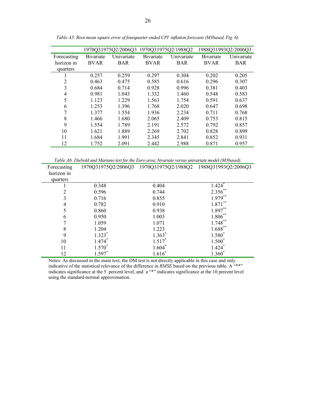|             |                   | 1970Q31975Q2/2006Q3 |                   | 1970Q31975Q2/1988Q2 |             | 1988Q31993Q2/2006Q3 |
|-------------|-------------------|---------------------|-------------------|---------------------|-------------|---------------------|
| Forecasting | <b>B</b> ivariate | Univariate          | <b>B</b> ivariate | Univariate          | Bivariate   | Univariate          |
| horizon in  | <b>BVAR</b>       | <b>BAR</b>          | <b>BVAR</b>       | <b>BAR</b>          | <b>BVAR</b> | <b>BAR</b>          |
| quarters    |                   |                     |                   |                     |             |                     |
|             | 0.257             | 0.259               | 0.297             | 0.304               | 0.202       | 0.205               |
| 2           | 0.463             | 0.475               | 0.585             | 0.616               | 0.296       | 0.307               |
| 3           | 0.684             | 0.714               | 0.928             | 0.996               | 0.381       | 0.403               |
| 4           | 0.981             | 1.043               | 1.332             | 1.460               | 0.548       | 0.583               |
| 5           | 1.123             | 1.229               | 1.563             | 1.754               | 0.591       | 0.637               |
| 6           | 1.253             | 1.396               | 1.768             | 2.020               | 0.647       | 0.698               |
| 7           | 1.377             | 1.554               | 1.936             | 2.234               | 0.711       | 0.768               |
| 8           | 1.466             | 1.680               | 2.065             | 2.409               | 0.753       | 0.815               |
| 9           | 1.554             | 1.789               | 2.191             | 2.572               | 0.792       | 0.857               |
| 10          | 1.621             | 1.889               | 2.269             | 2.702               | 0.828       | 0.899               |
| 11          | 1.684             | 1.991               | 2.345             | 2.841               | 0.852       | 0.931               |
| 12          | 1.752             | 2.091               | 2.442             | 2.988               | 0.871       | 0.957               |

*Table A5. Root mean square error of fourquarter ended CPI inflation forecasts (M3based, Fig. 6).* 

*Table A6. Diebold and Mariano test for the Euro area; bivariate versus univariate model (M3based).* 

| Forecasting    |                    | 1970Q31975Q2/2006Q3 1970Q31975Q2/1988Q2 1988Q31993Q2/2006Q3 |                       |
|----------------|--------------------|-------------------------------------------------------------|-----------------------|
| horizon in     |                    |                                                             |                       |
| quarters       |                    |                                                             |                       |
|                | 0.348              | 0.404                                                       | $1.424$ <sup>*</sup>  |
| $\overline{2}$ | 0.596              | 0.744                                                       | $2.356$ **            |
| 3              | 0.716              | 0.855                                                       | $1.979**$             |
| 4              | 0.782              | 0.910                                                       | $1.871***$            |
| 5              | 0.860              | 0.938                                                       | $1.897**$             |
| 6              | 0.950              | 1.003                                                       | $1.806***$            |
|                | 1.059              | 1.071                                                       | $1.748***$            |
| 8              | 1.204              | 1.223                                                       | $1.688$ <sup>**</sup> |
| 9              | $1.323*$           | $1.363*$                                                    | 1.580*                |
| 10             | $1.474*$           | $1.517*$                                                    | $1.500*$              |
| 11             | $1.570^{^{\circ}}$ | $1.604*$                                                    | $1.424$ <sup>*</sup>  |
| 12             | $1.597*$           | $1.616^*$                                                   | $1.360^*$             |

Notes: As discussed in the main text, the DM test is not directly applicable in this case and only indicative of the statistical relevance of the difference in *RMSE* based on the previous table. A "\*\*" indicates significance at the 5 percent level, and a "\*" indicates significance at the 10 percent level using the standard-normal approximation.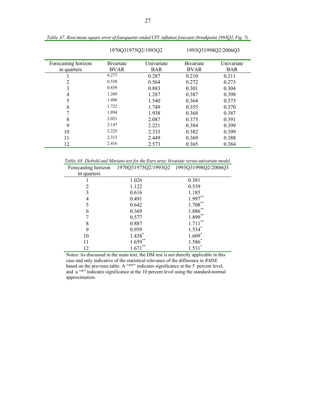|                     | 1970Q31975Q2/1993Q2 |            | 1993Q31998Q2/2006Q3 |            |
|---------------------|---------------------|------------|---------------------|------------|
| Forecasting horizon | Bivariate           | Univariate | <b>B</b> ivariate   | Univariate |
| in quarters         | <b>BVAR</b>         | <b>BAR</b> | <b>BVAR</b>         | <b>BAR</b> |
|                     | 0.277               | 0.287      | 0.210               | 0.211      |
| 2                   | 0.538               | 0.564      | 0.272               | 0.273      |
| 3                   | 0.859               | 0.883      | 0.301               | 0.304      |
| 4                   | 1.260               | 1.287      | 0.387               | 0.398      |
| 5                   | 1.498               | 1.540      | 0.364               | 0.375      |
| 6                   | 1.722               | 1.749      | 0.355               | 0.370      |
|                     | 1.894               | 1.938      | 0.368               | 0.387      |
| 8                   | 2.021               | 2.087      | 0.375               | 0.391      |
| 9                   | 2.147               | 2.221      | 0.384               | 0.399      |
| 10                  | 2.225               | 2.333      | 0.382               | 0.399      |
| 11                  | 2.313               | 2.449      | 0.369               | 0.388      |
| 12                  | 2.416               | 2.573      | 0.365               | 0.384      |

*Table A7. Root mean square error of fourquarter ended CPI inflation forecasts (breakpoint 1993Q2, Fig. 7).* 

*Table A8. Diebold and Mariano test for the Euro area; bivariate versus univariate model.* 

|             | Forecasting horizon 1970Q31975Q2/1993Q2 1993Q31998Q2/2006Q3 |             |
|-------------|-------------------------------------------------------------|-------------|
| in quarters |                                                             |             |
|             | 1.026                                                       | 0.381       |
| 2           | 1.122                                                       | 0.539       |
| 3           | 0.616                                                       | 1.185       |
| 4           | 0.491                                                       | $1.997**$   |
| 5           | 0.642                                                       | $1.708***$  |
| 6           | 0.369                                                       | $1.886***$  |
| 7           | 0.577                                                       | $1.899**$   |
| 8           | 0.887                                                       | **<br>1.711 |
| 9           | 0.959                                                       | $1.534*$    |
| 10          | $1.438*$                                                    | $1.609*$    |
| 11          | $1.659**$                                                   | 1.586       |
| 12          | $***$<br>1.671                                              | 1.531       |

Notes: As discussed in the main text, the DM test is not directly applicable in this case and only indicative of the statistical relevance of the difference in *RMSE* based on the previous table. A "\*\*" indicates significance at the 5 percent level, and a "\*" indicates significance at the 10 percent level using the standard-normal approximation.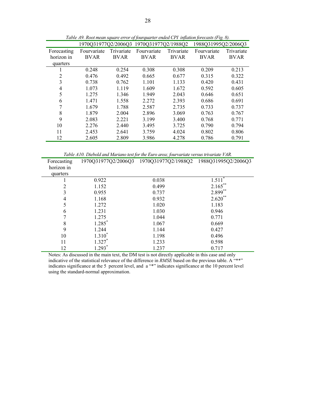|                | 1970Q31977Q2/2006Q3 |             | 1970Q31977Q2/1988Q2 |             | 1988Q31995Q2/2006Q3 |             |
|----------------|---------------------|-------------|---------------------|-------------|---------------------|-------------|
| Forecasting    | Fourvariate         | Trivariate  | Fourvariate         | Trivariate  | Fourvariate         | Trivariate  |
| horizon in     | <b>BVAR</b>         | <b>BVAR</b> | <b>BVAR</b>         | <b>BVAR</b> | <b>BVAR</b>         | <b>BVAR</b> |
| quarters       |                     |             |                     |             |                     |             |
|                | 0.248               | 0.254       | 0.308               | 0.308       | 0.209               | 0.213       |
| $\overline{c}$ | 0.476               | 0.492       | 0.665               | 0.677       | 0.315               | 0.322       |
| 3              | 0.738               | 0.762       | 1.101               | 1.133       | 0.420               | 0.431       |
| 4              | 1.073               | 1.119       | 1.609               | 1.672       | 0.592               | 0.605       |
| 5              | 1.275               | 1.346       | 1.949               | 2.043       | 0.646               | 0.651       |
| 6              | 1.471               | 1.558       | 2.272               | 2.393       | 0.686               | 0.691       |
|                | 1.679               | 1.788       | 2.587               | 2.735       | 0.733               | 0.737       |
| 8              | 1.879               | 2.004       | 2.896               | 3.069       | 0.763               | 0.767       |
| 9              | 2.083               | 2.221       | 3.199               | 3.400       | 0.768               | 0.771       |
| 10             | 2.276               | 2.440       | 3.495               | 3.725       | 0.790               | 0.794       |
| 11             | 2.453               | 2.641       | 3.759               | 4.024       | 0.802               | 0.806       |
| 12             | 2.605               | 2.809       | 3.986               | 4.278       | 0.786               | 0.791       |

*Table A9. Root mean square error of fourquarter ended CPI inflation forecasts (Fig. 8).* 

*Table A10. Diebold and Mariano test for the Euro area; fourvariate versus trivariate VAR.* 

|             |                      | . <i>.</i>                                                  |            |
|-------------|----------------------|-------------------------------------------------------------|------------|
| Forecasting |                      | 1970Q31977Q2/2006Q3 1970Q31977Q2/1988Q2 1988Q31995Q2/2006Q3 |            |
| horizon in  |                      |                                                             |            |
| quarters    |                      |                                                             |            |
|             | 0.922                | 0.038                                                       | $1.511^*$  |
| 2           | 1.152                | 0.499                                                       | $2.165***$ |
| 3           | 0.955                | 0.737                                                       | $2.899***$ |
| 4           | 1.168                | 0.932                                                       | $2.620**$  |
| 5           | 1.272                | 1.020                                                       | 1.183      |
| 6           | 1.231                | 1.030                                                       | 0.946      |
| 7           | 1.275                | 1.044                                                       | 0.771      |
| 8           | $1.285$ <sup>*</sup> | 1.067                                                       | 0.669      |
| 9           | 1.244                | 1.144                                                       | 0.427      |
| 10          | $1.310*$             | 1.198                                                       | 0.496      |
| 11          | $1.327*$             | 1.233                                                       | 0.598      |
| 12          | $1.293*$             | 1.237                                                       | 0.717      |

Notes: As discussed in the main text, the DM test is not directly applicable in this case and only indicative of the statistical relevance of the difference in *RMSE* based on the previous table. A "\*\*" indicates significance at the 5 percent level, and a "\*" indicates significance at the 10 percent level using the standard-normal approximation.